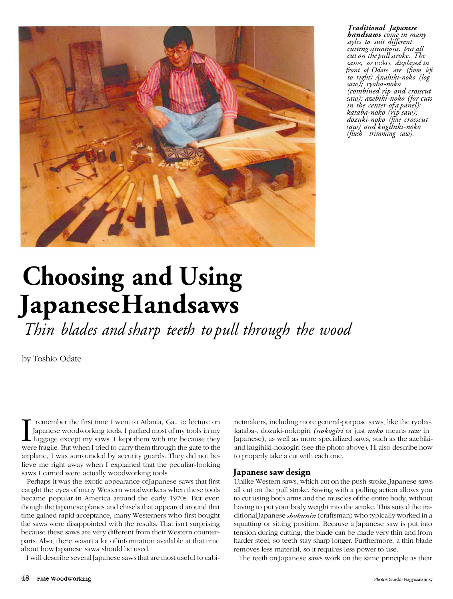

*Traditional Japanese handsaws come in many styles to suit different cutting situations, but all cut on the pull stroke. The saws, or* noko, *displayed in front of Odate are (from left to right) Anahiki-noko (log saw); ryoba-noko (combined rip and crosscut saw); azebiki-noko (for cuts in the center of a panel); kataba-noko (rip saw); dozuki-noko (fine crosscut saw) and kugihiki-noko (flush trimming saw).*

# **Choosing and Using Japanese Handsaws**

*Thin blades and sharp teeth to pull through the wood*

by Toshio Odate

I remember the first time I went to Atlanta, Ga., to lecture on Japanese woodworking tools. I packed most of my tools in my luggage except my saws. I kept them with me because they were fragile. But when I tried to carry t remember the first time I went to Atlanta, Ga., to lecture on Japanese woodworking tools. I packed most of my tools in my luggage except my saws. I kept them with me because they airplane, I was surrounded by security guards. They did not believe me right away when I explained that the peculiar-looking saws I carried were actually woodworking tools.

Perhaps it was the exotic appearance of Japanese saws that first caught the eyes of many Western woodworkers when these tools became popular in America around the early 1970s. But even though the Japanese planes and chisels that appeared around that time gained rapid acceptance, many Westerners who first bought the saws were disappointed with the results. That isn't surprising because these saws are very different from their Western counterparts. Also, there wasn't a lot of information available at that time about how Japanese saws should be used.

I will describe several Japanese saws that are most useful to cabi-

netmakers, including more general-purpose saws, like the ryoba-, kataba-, dozuki-nokogiri *(nokogiri* or just *noko* means *saw* in Japanese), as well as more specialized saws, such as the azebikiand kugihiki-nokogiri (see the photo above). I'll also describe how to properly take a cut with each one.

#### **Japanese saw design**

Unlike Western saws, which cut on the push stroke, Japanese saws all cut on the pull stroke. Sawing with a pulling action allows you to cut using both arms and the muscles of the entire body, without having to put your body weight into the stroke. This suited the traditional Japanese *shokunin* (craftsman) who typically worked in a squatting or sitting position. Because a Japanese saw is put into tension during cutting, the blade can be made very thin and from harder steel, so teeth stay sharp longer. Furthermore, a thin blade removes less material, so it requires less power to use.

The teeth on Japanese saws work on the same principle as their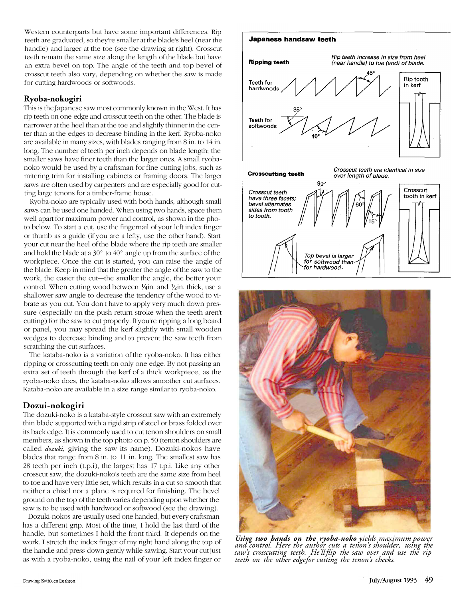Western counterparts but have some important differences. Rip teeth are graduated, so they're smaller at the blade's heel (near the handle) and larger at the toe (see the drawing at right). Crosscut teeth remain the same size along the length of the blade but have an extra bevel on top. The angle of the teeth and top bevel of crosscut teeth also vary, depending on whether the saw is made for cutting hardwoods or softwoods.

#### **Ryoba-nokogiri**

This is the Japanese saw most commonly known in the West. It has rip teeth on one edge and crosscut teeth on the other. The blade is narrower at the heel than at the toe and slightly thinner in the center than at the edges to decrease binding in the kerf. Ryoba-noko are available in many sizes, with blades ranging from 8 in. to 14 in. long. The number of teeth per inch depends on blade length; the smaller saws have finer teeth than the larger ones. A small ryobanoko would be used by a craftsman for fine cutting jobs, such as mitering trim for installing cabinets or framing doors. The larger saws are often used by carpenters and are especially good for cutting large tenons for a timber-frame house.

Ryoba-noko are typically used with both hands, although small saws can be used one handed. When using two hands, space them well apart for maximum power and control, as shown in the photo below. To start a cut, use the fingernail of your left index finger or thumb as a guide (if you are a lefty, use the other hand). Start your cut near the heel of the blade where the rip teeth are smaller and hold the blade at a 30° to 40° angle up from the surface of the workpiece. Once the cut is started, you can raise the angle of the blade. Keep in mind that the greater the angle of the saw to the work, the easier the cut—the smaller the angle, the better your control. When cutting wood between  $\frac{1}{4}$ in. and  $\frac{1}{2}$ in. thick, use a shallower saw angle to decrease the tendency of the wood to vibrate as you cut. You don't have to apply very much down pressure (especially on the push return stroke when the teeth aren't cutting) for the saw to cut properly. If you're ripping a long board or panel, you may spread the kerf slightly with small wooden wedges to decrease binding and to prevent the saw teeth from scratching the cut surfaces.

The kataba-noko is a variation of the ryoba-noko. It has either ripping or crosscutting teeth on only one edge. By not passing an extra set of teeth through the kerf of a thick workpiece, as the ryoba-noko does, the kataba-noko allows smoother cut surfaces. Kataba-noko are available in a size range similar to ryoba-noko.

### **Dozui-nokogiri**

The dozuki-noko is a kataba-style crosscut saw with an extremely thin blade supported with a rigid strip of steel or brass folded over its back edge. It is commonly used to cut tenon shoulders on small members, as shown in the top photo on p. 50 (tenon shoulders are called *dozuki,* giving the saw its name). Dozuki-nokos have blades that range from 8 in. to 11 in. long. The smallest saw has 28 teeth per inch (t.p.i), the largest has 17 t.p.i. Like any other crosscut saw, the dozuki-noko's teeth are the same size from heel to toe and have very little set, which results in a cut so smooth that neither a chisel nor a plane is required for finishing. The bevel ground on the top of the teeth varies depending upon whether the saw is to be used with hardwood or softwood (see the drawing).

Dozuki-nokos are usually used one handed, but every craftsman has a different grip. Most of the time, I hold the last third of the handle, but sometimes I hold the front third. It depends on the work. I stretch the index finger of my right hand along the top of the handle and press down gently while sawing. Start your cut just as with a ryoba-noko, using the nail of your left index finger or





*Using two hands on the ryoba-noko yields maximum power and control. Here the author cuts a tenon's shoulder, using the saw's crosscutting teeth. He'll flip the saw over and use the rip teeth on the other edge for cutting the tenon's cheeks.*